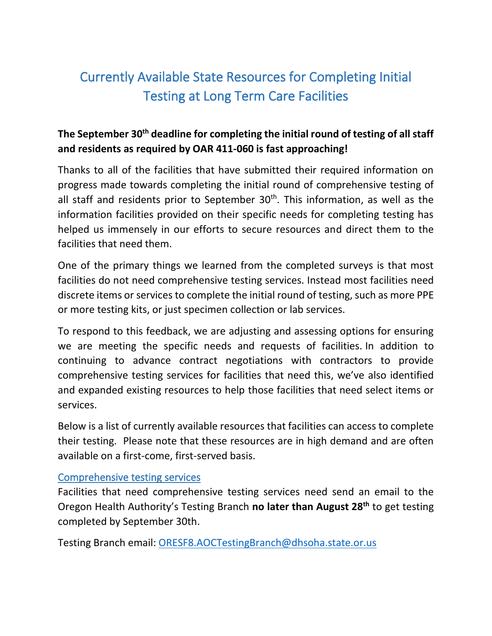# Currently Available State Resources for Completing Initial Testing at Long Term Care Facilities

## **The September 30th deadline for completing the initial round of testing of all staff and residents as required by OAR 411-060 is fast approaching!**

Thanks to all of the facilities that have submitted their required information on progress made towards completing the initial round of comprehensive testing of all staff and residents prior to September  $30<sup>th</sup>$ . This information, as well as the information facilities provided on their specific needs for completing testing has helped us immensely in our efforts to secure resources and direct them to the facilities that need them.

One of the primary things we learned from the completed surveys is that most facilities do not need comprehensive testing services. Instead most facilities need discrete items or services to complete the initial round of testing, such as more PPE or more testing kits, or just specimen collection or lab services.

To respond to this feedback, we are adjusting and assessing options for ensuring we are meeting the specific needs and requests of facilities. In addition to continuing to advance contract negotiations with contractors to provide comprehensive testing services for facilities that need this, we've also identified and expanded existing resources to help those facilities that need select items or services.

Below is a list of currently available resources that facilities can access to complete their testing. Please note that these resources are in high demand and are often available on a first-come, first-served basis.

## Comprehensive testing services

Facilities that need comprehensive testing services need send an email to the Oregon Health Authority's Testing Branch **no later than August 28th** to get testing completed by September 30th.

Testing Branch email: [ORESF8.AOCTestingBranch@dhsoha.state.or.us](mailto:ORESF8.AOCTestingBranch@dhsoha.state.or.us)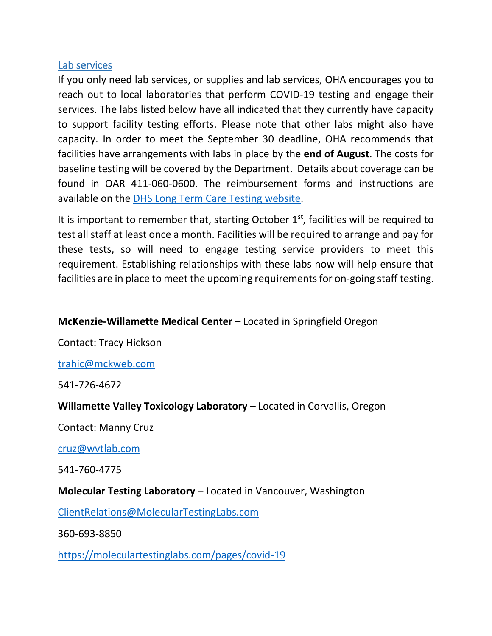### Lab services

If you only need lab services, or supplies and lab services, OHA encourages you to reach out to local laboratories that perform COVID-19 testing and engage their services. The labs listed below have all indicated that they currently have capacity to support facility testing efforts. Please note that other labs might also have capacity. In order to meet the September 30 deadline, OHA recommends that facilities have arrangements with labs in place by the **end of August**. The costs for baseline testing will be covered by the Department. Details about coverage can be found in OAR 411-060-0600. The reimbursement forms and instructions are available on the [DHS Long Term Care Testing website.](https://govstatus.egov.com/or-dhs-ltcf-testing)

It is important to remember that, starting October  $1<sup>st</sup>$ , facilities will be required to test all staff at least once a month. Facilities will be required to arrange and pay for these tests, so will need to engage testing service providers to meet this requirement. Establishing relationships with these labs now will help ensure that facilities are in place to meet the upcoming requirements for on-going staff testing.

## **McKenzie-Willamette Medical Center** – Located in Springfield Oregon

Contact: Tracy Hickson

[trahic@mckweb.com](mailto:trahic@mckweb.com)

541-726-4672

**Willamette Valley Toxicology Laboratory** – Located in Corvallis, Oregon

Contact: Manny Cruz

[cruz@wvtlab.com](mailto:cruz@wvtlab.com)

541-760-4775

**Molecular Testing Laboratory** – Located in Vancouver, Washington

[ClientRelations@MolecularTestingLabs.com](mailto:ClientRelations@MolecularTestingLabs.com)

360-693-8850

[https://moleculartestinglabs.com/pages/covid-19](https://urldefense.proofpoint.com/v2/url?u=https-3A__moleculartestinglabs.com_pages_covid-2D19&d=DwMFaQ&c=7gilq_oJKU2hnacFUWFTuYqjMQ111TRstgx6WoATdXo&r=kxgADJ_-NhAj4KsY_irONtSZC89GAT_OuDExXi9RYss&m=ALzogXidCP8e65isXThW_pTG07cNrJMEz3XTBxuJHB4&s=aCs1TXlTkwXOU1jQvwZjXzmeU6h_4tWUcbHAJxr4PWA&e=)